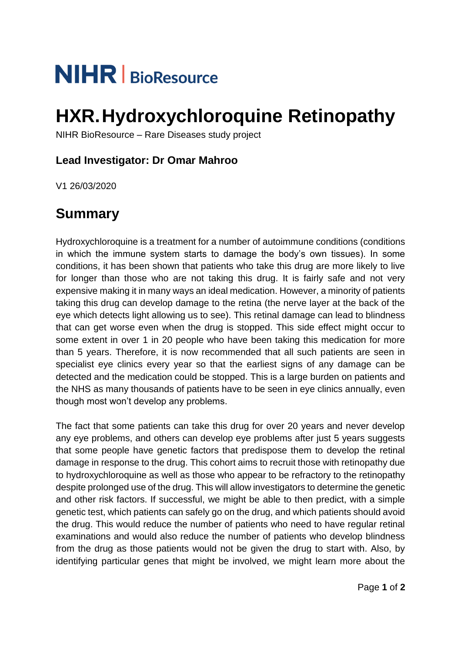# **NIHR** | BioResource

## **HXR.Hydroxychloroquine Retinopathy**

NIHR BioResource – Rare Diseases study project

### **Lead Investigator: Dr Omar Mahroo**

V1 26/03/2020

## **Summary**

Hydroxychloroquine is a treatment for a number of autoimmune conditions (conditions in which the immune system starts to damage the body's own tissues). In some conditions, it has been shown that patients who take this drug are more likely to live for longer than those who are not taking this drug. It is fairly safe and not very expensive making it in many ways an ideal medication. However, a minority of patients taking this drug can develop damage to the retina (the nerve layer at the back of the eye which detects light allowing us to see). This retinal damage can lead to blindness that can get worse even when the drug is stopped. This side effect might occur to some extent in over 1 in 20 people who have been taking this medication for more than 5 years. Therefore, it is now recommended that all such patients are seen in specialist eye clinics every year so that the earliest signs of any damage can be detected and the medication could be stopped. This is a large burden on patients and the NHS as many thousands of patients have to be seen in eye clinics annually, even though most won't develop any problems.

The fact that some patients can take this drug for over 20 years and never develop any eye problems, and others can develop eye problems after just 5 years suggests that some people have genetic factors that predispose them to develop the retinal damage in response to the drug. This cohort aims to recruit those with retinopathy due to hydroxychloroquine as well as those who appear to be refractory to the retinopathy despite prolonged use of the drug. This will allow investigators to determine the genetic and other risk factors. If successful, we might be able to then predict, with a simple genetic test, which patients can safely go on the drug, and which patients should avoid the drug. This would reduce the number of patients who need to have regular retinal examinations and would also reduce the number of patients who develop blindness from the drug as those patients would not be given the drug to start with. Also, by identifying particular genes that might be involved, we might learn more about the